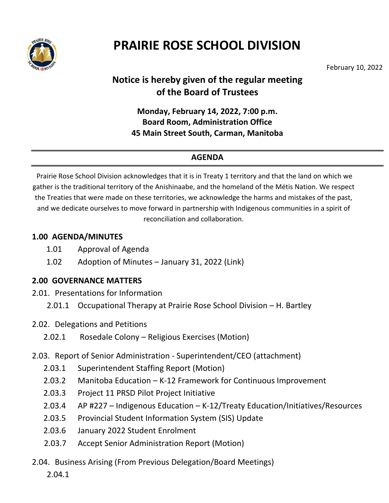

# **PRAIRIE ROSE SCHOOL DIVISION**

February 10, 2022

# **Notice is hereby given of the regular meeting of the Board of Trustees**

### **Monday, February 14, 2022, 7:00 p.m. Board Room, Administration Office 45 Main Street South, Carman, Manitoba**

### **AGENDA**

Prairie Rose School Division acknowledges that it is in Treaty 1 territory and that the land on which we gather is the traditional territory of the Anishinaabe, and the homeland of the Métis Nation. We respect the Treaties that were made on these territories, we acknowledge the harms and mistakes of the past, and we dedicate ourselves to move forward in partnership with Indigenous communities in a spirit of reconciliation and collaboration.

#### **1.00 AGENDA/MINUTES**

- 1.01 Approval of Agenda
- 1.02 Adoption of Minutes January 31, 2022 (Link)

#### **2.00 GOVERNANCE MATTERS**

- 2.01. Presentations for Information
	- 2.01.1 Occupational Therapy at Prairie Rose School Division H. Bartley
- 2.02. Delegations and Petitions
	- 2.02.1 Rosedale Colony Religious Exercises (Motion)
- 2.03. Report of Senior Administration Superintendent/CEO (attachment)
	- 2.03.1 Superintendent Staffing Report (Motion)
	- 2.03.2 Manitoba Education K-12 Framework for Continuous Improvement
	- 2.03.3 Project 11 PRSD Pilot Project Initiative
	- 2.03.4 AP #227 Indigenous Education K-12/Treaty Education/Initiatives/Resources
	- 2.03.5 Provincial Student Information System (SIS) Update
	- 2.03.6 January 2022 Student Enrolment
	- 2.03.7 Accept Senior Administration Report (Motion)
- 2.04. Business Arising (From Previous Delegation/Board Meetings)